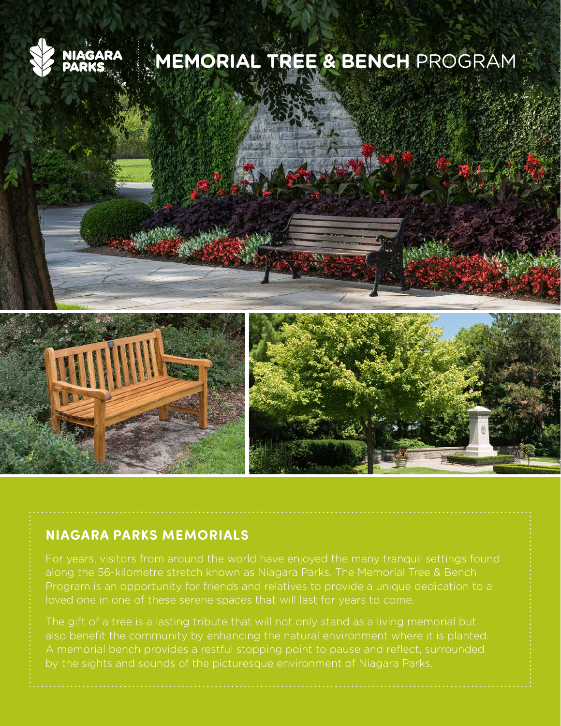

## **MEMORIAL TREE & BENCH** PROGRAM





along the 56-kilometre stretch known as Niagara Parks. The Memorial Tree & Bench

The gift of a tree is a lasting tribute that will not only stand as a living memorial but also benefit the community by enhancing the natural environment where it is planted. by the sights and sounds of the picturesque environment of Niagara Parks.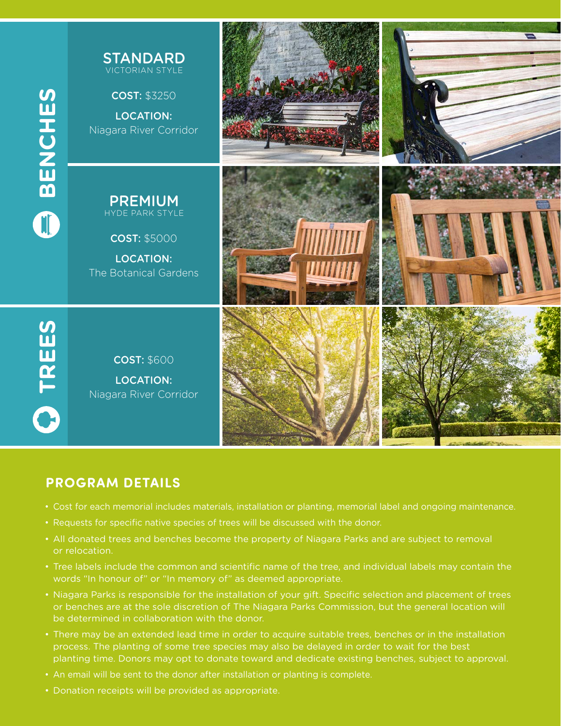

## **PROGRAM DETAILS**

- Cost for each memorial includes materials, installation or planting, memorial label and ongoing maintenance.
- Requests for specific native species of trees will be discussed with the donor.
- All donated trees and benches become the property of Niagara Parks and are subject to removal or relocation.
- Tree labels include the common and scientific name of the tree, and individual labels may contain the words "In honour of" or "In memory of" as deemed appropriate.
- Niagara Parks is responsible for the installation of your gift. Specific selection and placement of trees or benches are at the sole discretion of The Niagara Parks Commission, but the general location will be determined in collaboration with the donor.
- There may be an extended lead time in order to acquire suitable trees, benches or in the installation process. The planting of some tree species may also be delayed in order to wait for the best planting time. Donors may opt to donate toward and dedicate existing benches, subject to approval.
- An email will be sent to the donor after installation or planting is complete.
- Donation receipts will be provided as appropriate.